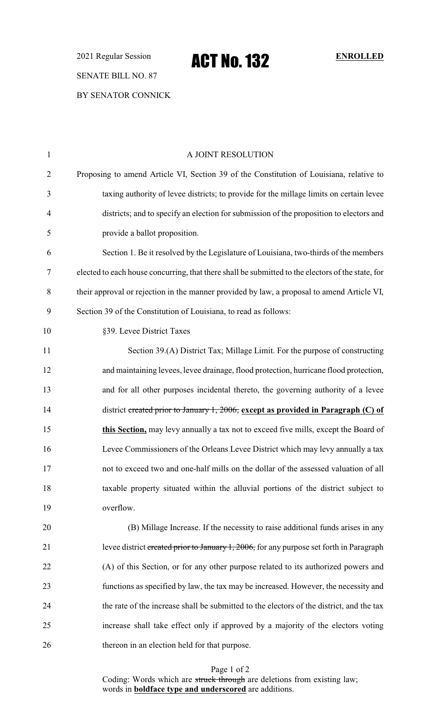2021 Regular Session **ACT No. 132** ENROLLED SENATE BILL NO. 87 BY SENATOR CONNICK

| $\mathbf{1}$   | A JOINT RESOLUTION                                                                                |
|----------------|---------------------------------------------------------------------------------------------------|
| $\overline{2}$ | Proposing to amend Article VI, Section 39 of the Constitution of Louisiana, relative to           |
| 3              | taxing authority of levee districts; to provide for the millage limits on certain levee           |
| 4              | districts; and to specify an election for submission of the proposition to electors and           |
| 5              | provide a ballot proposition.                                                                     |
| 6              | Section 1. Be it resolved by the Legislature of Louisiana, two-thirds of the members              |
| 7              | elected to each house concurring, that there shall be submitted to the electors of the state, for |
| 8              | their approval or rejection in the manner provided by law, a proposal to amend Article VI,        |
| 9              | Section 39 of the Constitution of Louisiana, to read as follows:                                  |
| 10             | §39. Levee District Taxes                                                                         |
| 11             | Section 39.(A) District Tax; Millage Limit. For the purpose of constructing                       |
| 12             | and maintaining levees, levee drainage, flood protection, hurricane flood protection,             |
| 13             | and for all other purposes incidental thereto, the governing authority of a levee                 |
| 14             | district created prior to January 1, 2006, except as provided in Paragraph $(C)$ of               |
| 15             | this Section, may levy annually a tax not to exceed five mills, except the Board of               |
| 16             | Levee Commissioners of the Orleans Levee District which may levy annually a tax                   |
| 17             | not to exceed two and one-half mills on the dollar of the assessed valuation of all               |
| 18             | taxable property situated within the alluvial portions of the district subject to                 |
| 19             | overflow.                                                                                         |
| 20             | (B) Millage Increase. If the necessity to raise additional funds arises in any                    |
| 21             | levee district created prior to January 1, 2006, for any purpose set forth in Paragraph           |
| 22             | (A) of this Section, or for any other purpose related to its authorized powers and                |
| 23             | functions as specified by law, the tax may be increased. However, the necessity and               |
| 24             | the rate of the increase shall be submitted to the electors of the district, and the tax          |
| 25             | increase shall take effect only if approved by a majority of the electors voting                  |
| 26             | thereon in an election held for that purpose.                                                     |

Page 1 of 2

Coding: Words which are struck through are deletions from existing law; words in **boldface type and underscored** are additions.